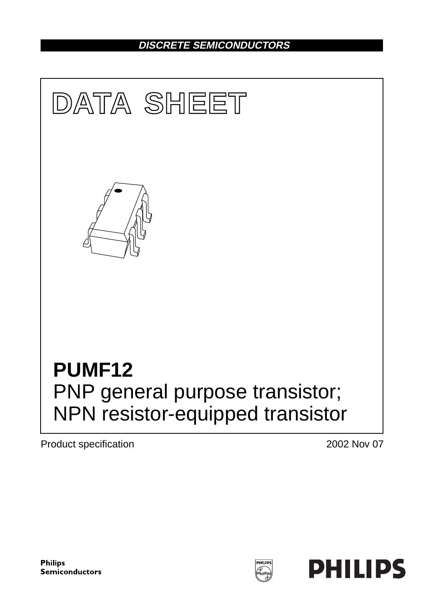## **DISCRETE SEMICONDUCTORS**



Product specification 2002 Nov 07

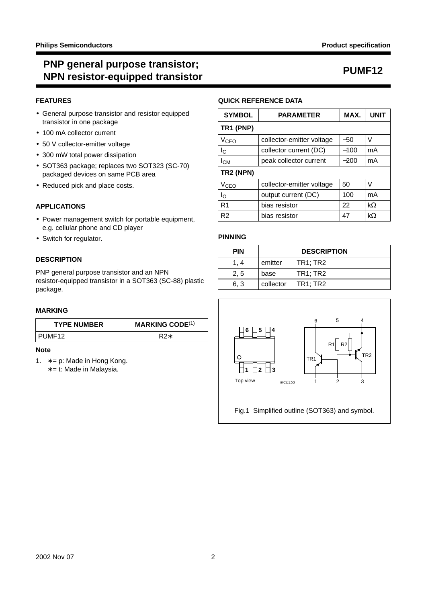## **PNP general purpose transistor; NPN resistor-equipped transistor PUMF12**

#### **FEATURES**

- General purpose transistor and resistor equipped transistor in one package
- 100 mA collector current
- 50 V collector-emitter voltage
- 300 mW total power dissipation
- SOT363 package; replaces two SOT323 (SC-70) packaged devices on same PCB area
- Reduced pick and place costs.

#### **APPLICATIONS**

- Power management switch for portable equipment, e.g. cellular phone and CD player
- Switch for regulator.

### **DESCRIPTION**

PNP general purpose transistor and an NPN resistor-equipped transistor in a SOT363 (SC-88) plastic package.

#### **MARKING**

| <b>TYPE NUMBER</b> | <b>MARKING CODE(1)</b> |  |  |
|--------------------|------------------------|--|--|
| PUME12             |                        |  |  |

#### **Note**

- 1.  $* = p$ : Made in Hong Kong.
	- ∗ = t: Made in Malaysia.

#### **QUICK REFERENCE DATA**

| <b>SYMBOL</b>          | <b>PARAMETER</b>          | MAX.   | <b>UNIT</b> |  |  |  |
|------------------------|---------------------------|--------|-------------|--|--|--|
| TR1 (PNP)              |                           |        |             |  |  |  |
| <b>V<sub>CEO</sub></b> | collector-emitter voltage | $-50$  | V           |  |  |  |
| $I_{\rm C}$            | collector current (DC)    | $-100$ | mA          |  |  |  |
| $I_{CM}$               | peak collector current    | $-200$ | mA          |  |  |  |
| TR2 (NPN)              |                           |        |             |  |  |  |
| <b>V<sub>CEO</sub></b> | collector-emitter voltage |        | v           |  |  |  |
| $I_{\rm O}$            | output current (DC)       |        | mA          |  |  |  |
| R <sub>1</sub>         | 22<br>bias resistor       |        | $k\Omega$   |  |  |  |
| l R2                   | 47<br>bias resistor       |        | $k\Omega$   |  |  |  |

#### **PINNING**

| <b>PIN</b> |         | <b>DESCRIPTION</b> |
|------------|---------|--------------------|
| 1.4        | emitter | <b>TR1: TR2</b>    |
| 2.5        | base    | <b>TR1: TR2</b>    |
| 6.3        |         | collector TR1: TR2 |

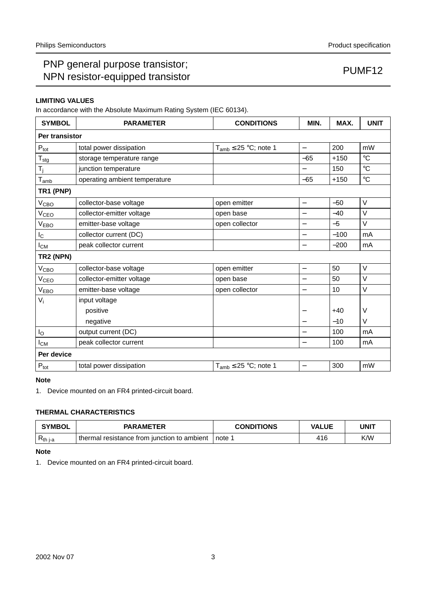## PNP general purpose transistor; PINP general purpose transistor,<br>NPN resistor-equipped transistor **PUMF12**

### **LIMITING VALUES**

In accordance with the Absolute Maximum Rating System (IEC 60134).

| <b>SYMBOL</b>          | <b>PARAMETER</b>                                                   | <b>CONDITIONS</b>            | MIN.                     | MAX.   | <b>UNIT</b>     |  |
|------------------------|--------------------------------------------------------------------|------------------------------|--------------------------|--------|-----------------|--|
| Per transistor         |                                                                    |                              |                          |        |                 |  |
| $P_{\text{tot}}$       | total power dissipation                                            | $T_{amb} \leq 25$ °C; note 1 | $\overline{\phantom{0}}$ | 200    | mW              |  |
| $T_{\text{stg}}$       | storage temperature range                                          |                              | $-65$                    | $+150$ | $\circ$ C       |  |
| $T_j$                  | junction temperature                                               |                              |                          | 150    | $\rm ^{\circ}C$ |  |
| $T_{amb}$              | operating ambient temperature                                      |                              | $-65$                    | $+150$ | $\rm ^{\circ}C$ |  |
| TR1 (PNP)              |                                                                    |                              |                          |        |                 |  |
| V <sub>CBO</sub>       | collector-base voltage                                             | open emitter                 | $\overline{\phantom{0}}$ | $-50$  | V               |  |
| V <sub>CEO</sub>       | collector-emitter voltage                                          | open base                    | $\overline{\phantom{0}}$ | $-40$  | V               |  |
| V <sub>EBO</sub>       | emitter-base voltage                                               | open collector               | —                        | $-5$   | $\vee$          |  |
| $I_{\rm C}$            | collector current (DC)                                             |                              |                          | $-100$ | mA              |  |
| $I_{CM}$               | peak collector current                                             |                              | $\overline{\phantom{0}}$ | $-200$ | mA              |  |
| TR2 (NPN)              |                                                                    |                              |                          |        |                 |  |
| <b>V<sub>CBO</sub></b> | collector-base voltage                                             | open emitter                 | $\qquad \qquad -$        | 50     | V               |  |
| V <sub>CEO</sub>       | collector-emitter voltage                                          | open base                    | $\overline{\phantom{0}}$ | 50     | V               |  |
| V <sub>EBO</sub>       | emitter-base voltage<br>open collector<br>$\overline{\phantom{0}}$ |                              |                          | 10     | V               |  |
| $V_i$                  | input voltage                                                      |                              |                          |        |                 |  |
|                        | positive                                                           |                              |                          | $+40$  | V               |  |
|                        | negative                                                           |                              |                          | $-10$  | $\vee$          |  |
| $I_{\rm O}$            | output current (DC)                                                |                              |                          | 100    | mA              |  |
| $I_{CM}$               | 100<br>peak collector current<br>—                                 |                              |                          |        | mA              |  |
| Per device             |                                                                    |                              |                          |        |                 |  |
| $P_{\text{tot}}$       | total power dissipation                                            | $T_{amb} \leq 25$ °C; note 1 |                          | 300    | mW              |  |

#### **Note**

1. Device mounted on an FR4 printed-circuit board.

### **THERMAL CHARACTERISTICS**

| <b>SYMBOL</b>       | <b>PARAMETER</b>                            | <b>CONDITIONS</b> | <b>VALUE</b> | UNIT |  |
|---------------------|---------------------------------------------|-------------------|--------------|------|--|
| к <sup>th</sup> j-a | thermal resistance from junction to ambient | note 1            | 416          | K/W  |  |

#### **Note**

1. Device mounted on an FR4 printed-circuit board.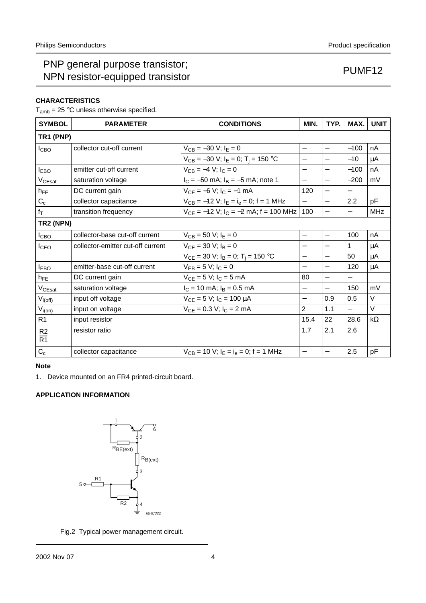## PNP general purpose transistor; PINP general purpose transistor,<br>NPN resistor-equipped transistor **PUMF12**

### **CHARACTERISTICS**

 $T_{amb}$  = 25 °C unless otherwise specified.

| <b>SYMBOL</b>    | <b>PARAMETER</b>                  | <b>CONDITIONS</b>                                     | MIN.                     | TYP.                     | MAX.     | <b>UNIT</b> |
|------------------|-----------------------------------|-------------------------------------------------------|--------------------------|--------------------------|----------|-------------|
| TR1 (PNP)        |                                   |                                                       |                          |                          |          |             |
| I <sub>CBO</sub> | collector cut-off current         | $V_{CB} = -30 V$ ; $I_E = 0$                          | $\overline{\phantom{0}}$ | $\overline{\phantom{0}}$ | $-100$   | nA          |
|                  |                                   | $V_{CB} = -30$ V; $I_E = 0$ ; T <sub>i</sub> = 150 °C | $\overline{\phantom{0}}$ | —                        | $-10$    | μA          |
| $I_{EBO}$        | emitter cut-off current           | $V_{FB} = -4 V$ ; $I_C = 0$                           | $\overline{\phantom{0}}$ | $\overline{\phantom{0}}$ | $-100$   | nA          |
| $V_{CEsat}$      | saturation voltage                | $I_C = -50$ mA; $I_B = -5$ mA; note 1                 | $\overline{\phantom{0}}$ | $\equiv$                 | $-200$   | mV          |
| $h_{FE}$         | DC current gain                   | $V_{CE} = -6 V$ ; $I_C = -1$ mA                       | 120                      |                          |          |             |
| $C_c$            | collector capacitance             | $V_{CB} = -12 V$ ; $I_F = I_e = 0$ ; f = 1 MHz        | $\equiv$                 | $\overline{a}$           | 2.2      | pF          |
| $f_T$            | transition frequency              | $V_{CE} = -12$ V; $I_C = -2$ mA; f = 100 MHz          | 100                      | $\overline{\phantom{0}}$ |          | <b>MHz</b>  |
| TR2 (NPN)        |                                   |                                                       |                          |                          |          |             |
| <b>I</b> CBO     | collector-base cut-off current    | $V_{CB} = 50 V$ ; $I_E = 0$                           |                          | $\equiv$                 | 100      | nA          |
| I <sub>CEO</sub> | collector-emitter cut-off current | $V_{CE} = 30 V$ ; $I_B = 0$                           | $\qquad \qquad -$        | $\overline{\phantom{0}}$ | 1        | μA          |
|                  |                                   | $V_{CE}$ = 30 V; $I_B$ = 0; T <sub>i</sub> = 150 °C   | $\overline{\phantom{0}}$ | $\overline{\phantom{0}}$ | 50       | μA          |
| <b>IEBO</b>      | emitter-base cut-off current      | $V_{FB} = 5 V$ ; $I_C = 0$                            | $\overline{\phantom{0}}$ | $\overline{\phantom{0}}$ | 120      | μA          |
| $h_{FE}$         | DC current gain                   | $V_{CE} = 5 V$ ; $I_C = 5 mA$                         | 80                       | $\overline{\phantom{0}}$ |          |             |
| $V_{CEsat}$      | saturation voltage                | $I_C = 10$ mA; $I_B = 0.5$ mA                         | $\overline{\phantom{0}}$ | $\overline{\phantom{0}}$ | 150      | mV          |
| $V_{i(off)}$     | input off voltage                 | $V_{CE} = 5 V$ ; $I_C = 100 \mu A$                    | $\overline{\phantom{0}}$ | 0.9                      | 0.5      | $\vee$      |
| $V_{i(on)}$      | input on voltage                  | $V_{CE} = 0.3 V$ ; $I_C = 2 mA$                       | $\overline{2}$           | 1.1                      | $\equiv$ | $\vee$      |
| R <sub>1</sub>   | input resistor                    |                                                       | 15.4                     | 22                       | 28.6     | $k\Omega$   |
| R <sub>2</sub>   | resistor ratio                    |                                                       | 1.7                      | 2.1                      | 2.6      |             |
| $\overline{R1}$  |                                   |                                                       |                          |                          |          |             |
| $C_{c}$          | collector capacitance             | $V_{CB}$ = 10 V; $I_F = I_e = 0$ ; f = 1 MHz          | $\qquad \qquad -$        | $\overline{\phantom{0}}$ | 2.5      | pF          |

#### **Note**

1. Device mounted on an FR4 printed-circuit board.

### **APPLICATION INFORMATION**

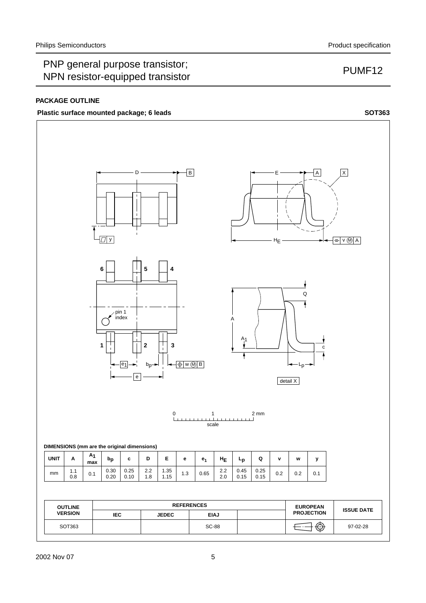## PNP general purpose transistor; The general purpose transistor,<br>NPN resistor-equipped transistor **PUMF12**

#### **PACKAGE OUTLINE**

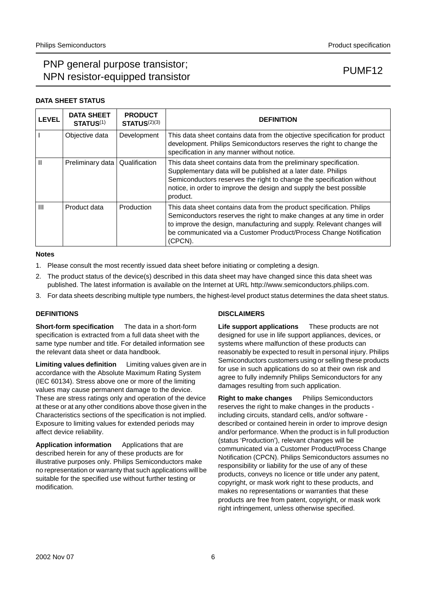## PNP general purpose transistor; n and serious particles transistor,<br>NPN resistor-equipped transistor example that the pump of PUMF12

#### **DATA SHEET STATUS**

| <b>LEVEL</b> | <b>DATA SHEET</b><br><b>STATUS(1)</b> | <b>PRODUCT</b><br>STATUS <sup>(2)(3)</sup> | <b>DEFINITION</b>                                                                                                                                                                                                                                                                                          |
|--------------|---------------------------------------|--------------------------------------------|------------------------------------------------------------------------------------------------------------------------------------------------------------------------------------------------------------------------------------------------------------------------------------------------------------|
|              | Objective data                        | Development                                | This data sheet contains data from the objective specification for product<br>development. Philips Semiconductors reserves the right to change the<br>specification in any manner without notice.                                                                                                          |
| Ш            | Preliminary data                      | Qualification                              | This data sheet contains data from the preliminary specification.<br>Supplementary data will be published at a later date. Philips<br>Semiconductors reserves the right to change the specification without<br>notice, in order to improve the design and supply the best possible<br>product.             |
| Ш            | Product data                          | Production                                 | This data sheet contains data from the product specification. Philips<br>Semiconductors reserves the right to make changes at any time in order<br>to improve the design, manufacturing and supply. Relevant changes will<br>be communicated via a Customer Product/Process Change Notification<br>(CPCN). |

#### **Notes**

- 1. Please consult the most recently issued data sheet before initiating or completing a design.
- 2. The product status of the device(s) described in this data sheet may have changed since this data sheet was published. The latest information is available on the Internet at URL http://www.semiconductors.philips.com.
- 3. For data sheets describing multiple type numbers, the highest-level product status determines the data sheet status.

#### **DEFINITIONS**

**Short-form specification** — The data in a short-form specification is extracted from a full data sheet with the same type number and title. For detailed information see the relevant data sheet or data handbook.

**Limiting values definition** - Limiting values given are in accordance with the Absolute Maximum Rating System (IEC 60134). Stress above one or more of the limiting values may cause permanent damage to the device. These are stress ratings only and operation of the device at these or at any other conditions above those given in the Characteristics sections of the specification is not implied. Exposure to limiting values for extended periods may affect device reliability.

Application information Applications that are described herein for any of these products are for illustrative purposes only. Philips Semiconductors make no representation or warranty that such applications will be suitable for the specified use without further testing or modification.

#### **DISCLAIMERS**

**Life support applications** - These products are not designed for use in life support appliances, devices, or systems where malfunction of these products can reasonably be expected to result in personal injury. Philips Semiconductors customers using or selling these products for use in such applications do so at their own risk and agree to fully indemnify Philips Semiconductors for any damages resulting from such application.

**Right to make changes** - Philips Semiconductors reserves the right to make changes in the products including circuits, standard cells, and/or software described or contained herein in order to improve design and/or performance. When the product is in full production (status 'Production'), relevant changes will be communicated via a Customer Product/Process Change Notification (CPCN). Philips Semiconductors assumes no responsibility or liability for the use of any of these products, conveys no licence or title under any patent, copyright, or mask work right to these products, and makes no representations or warranties that these products are free from patent, copyright, or mask work right infringement, unless otherwise specified.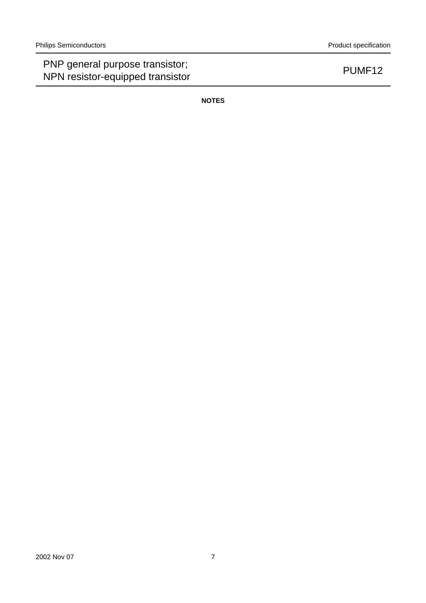## PNP general purpose transistor; PNP general purpose transistor,<br>NPN resistor-equipped transistor PUMF12

**NOTES**